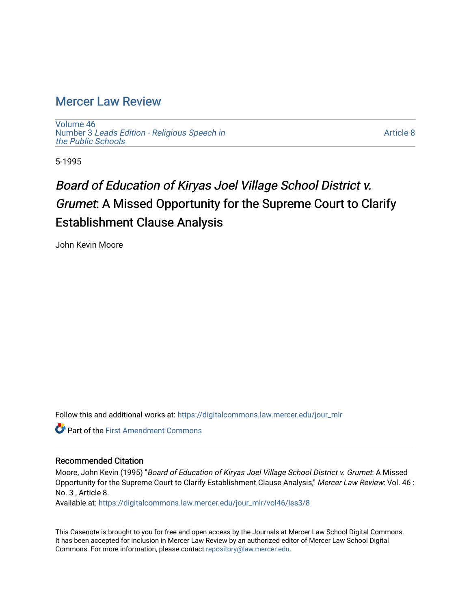## [Mercer Law Review](https://digitalcommons.law.mercer.edu/jour_mlr)

[Volume 46](https://digitalcommons.law.mercer.edu/jour_mlr/vol46) Number 3 [Leads Edition - Religious Speech in](https://digitalcommons.law.mercer.edu/jour_mlr/vol46/iss3) [the Public Schools](https://digitalcommons.law.mercer.edu/jour_mlr/vol46/iss3)

[Article 8](https://digitalcommons.law.mercer.edu/jour_mlr/vol46/iss3/8) 

5-1995

# Board of Education of Kiryas Joel Village School District v. Grumet: A Missed Opportunity for the Supreme Court to Clarify Establishment Clause Analysis

John Kevin Moore

Follow this and additional works at: [https://digitalcommons.law.mercer.edu/jour\\_mlr](https://digitalcommons.law.mercer.edu/jour_mlr?utm_source=digitalcommons.law.mercer.edu%2Fjour_mlr%2Fvol46%2Fiss3%2F8&utm_medium=PDF&utm_campaign=PDFCoverPages)

**C** Part of the First Amendment Commons

#### Recommended Citation

Moore, John Kevin (1995) "Board of Education of Kiryas Joel Village School District v. Grumet: A Missed Opportunity for the Supreme Court to Clarify Establishment Clause Analysis," Mercer Law Review: Vol. 46 : No. 3 , Article 8.

Available at: [https://digitalcommons.law.mercer.edu/jour\\_mlr/vol46/iss3/8](https://digitalcommons.law.mercer.edu/jour_mlr/vol46/iss3/8?utm_source=digitalcommons.law.mercer.edu%2Fjour_mlr%2Fvol46%2Fiss3%2F8&utm_medium=PDF&utm_campaign=PDFCoverPages)

This Casenote is brought to you for free and open access by the Journals at Mercer Law School Digital Commons. It has been accepted for inclusion in Mercer Law Review by an authorized editor of Mercer Law School Digital Commons. For more information, please contact [repository@law.mercer.edu.](mailto:repository@law.mercer.edu)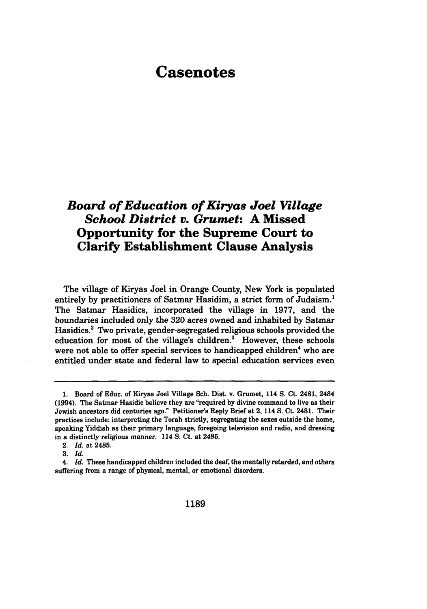## **Casenotes**

### *Board of Education of Kiryas Joel Village School District v. Grumet:* **A Missed Opportunity for the Supreme Court to Clarify Establishment Clause Analysis**

The village of Kiryas Joel in Orange County, New York is populated entirely by practitioners of Satmar Hasidim, a strict form of Judaism.<sup>1</sup> The Satmar Hasidics, incorporated the village in **1977,** and the boundaries included only the **320** acres owned and inhabited **by** Satmar Hasidics.2 Two private, gender-segregated religious schools provided the education for most of the village's children? However, these schools were not able to offer special services to handicapped children<sup>4</sup> who are entitled under state and federal law to special education services even

*3. Id.*

**<sup>1.</sup>** Board of Educ. of Kiryas Joel Village Sch. Dist. v. Grumet, 114 **S.** Ct. 2481, 2484 (1994). The Satmar Hasidic believe they are "required **by** divine command to live as their Jewish ancestors did centuries ago." Petitioner's Reply Brief at 2, 114 **S.** Ct. 2481. Their practices include: interpreting the Torah strictly, segregating the sexes outside the home, speaking Yiddish as their primary language, foregoing television and radio, and dressing in a distinctly religious manner. 114 **S.** Ct. at 2485.

<sup>2.</sup> *Id.* at 2485.

<sup>4.</sup> *Id.* These handicapped children included the deaf, the mentally retarded, and others suffering from a range of physical, mental, or emotional disorders.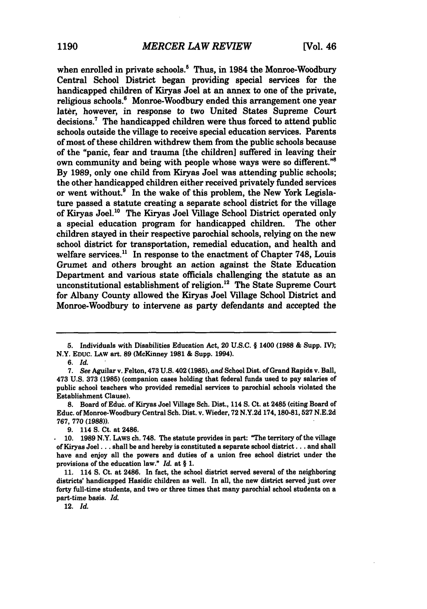when enrolled in private schools.<sup>5</sup> Thus, in 1984 the Monroe-Woodbury Central School District began providing special services for the handicapped children of Kiryas Joel at an annex to one of the private, religious schools.<sup>6</sup> Monroe-Woodbury ended this arrangement one year later, however, in response to two United States Supreme Court decisions.7 The handicapped children were thus forced to attend public schools outside the village to receive special education services. Parents of most of these children withdrew them from the public schools because of the "panic, fear and trauma [the children] suffered in leaving their own community and being with people whose ways were so different."8 By 1989, only one child from Kiryas Joel was attending public schools; the other handicapped children either received privately funded services or went without.<sup>9</sup> In the wake of this problem, the New York Legislature passed a statute creating a separate school district for the village of Kiryas Joel.<sup>10</sup> The Kiryas Joel Village School District operated only a special education program for handicapped children. The other children stayed in their respective parochial schools, relying on the new school district for transportation, remedial education, and health and welfare services.<sup>11</sup> In response to the enactment of Chapter 748, Louis Grumet and others brought an action against the State Education Department and various state officials challenging the statute as an unconstitutional establishment of religion.<sup>12</sup> The State Supreme Court for Albany County allowed the Kiryas Joel Village School District and Monroe-Woodbury to intervene as party defendants and accepted the

*6. Id.*

12. *Id.*

**<sup>5.</sup>** Individuals with Disabilities Education Act, 20 **U.S.C.** § 1400 **(1988 &** Supp. **IV);** N.Y. EDUC. LAW art. **89** (McKinney **1981 &** Supp. 1994).

**<sup>7.</sup>** *See* Aguilar v. Felton, 473 **U.S.** 402 **(1985),** *and* School Dist. of Grand Rapids v. Ball, 473 **U.S. 373 (1985)** (companion cases holding that federal **funds** used to pay salaries of public school teachers who provided remedial services to parochial schools violated the Establishment Clause).

**<sup>8.</sup>** Board of **Educ.** of Kiryas Joel Village Sch. Dist., 114 **S.** Ct. at 2485 (citing Board of Educ. of Monroe-Woodbury Central Sch. Dist. v. Wieder, **72 N.Y.2d 174, 180-81,527 N.E.2d 767, 770 (1988)).**

**<sup>9.</sup>** 114 **S.** Ct. at 2486.

**<sup>10. 1989</sup>** N.Y. LAws ch. **748.** The statute provides in part: "The territory of the village of Kiryas Joel **...** shall be and hereby is constituted **a** separate school district... and shall have and enjoy all the powers and duties of a union free school district under the provisions of the education law." *Id.* at § **1.**

<sup>11. 114</sup> **S.** Ct. at 2486. In fact, the school district served several of the neighboring districts' handicapped Hasidic children as well. In all, the new district served just over forty full-time students, and two or three times that many parochial school students on a part-time basis. *Id.*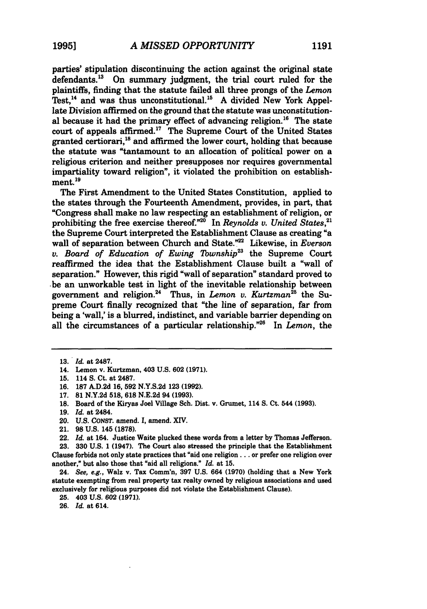parties' stipulation discontinuing the action against the original state defendants.<sup>13</sup> On summary judgment, the trial court ruled for the plaintiffs, finding that the statute failed all three prongs of the *Lemon* Test,<sup>14</sup> and was thus unconstitutional.<sup>15</sup> A divided New York Appellate Division affirmed on the ground that the statute was unconstitutional because it had the primary effect of advancing religion.<sup>16</sup> The state court of appeals affirmed.<sup>17</sup> The Supreme Court of the United States granted certiorari,<sup>18</sup> and affirmed the lower court, holding that because the statute was "tantamount to an allocation of political power on a religious criterion and neither presupposes nor requires governmental impartiality toward religion", it violated the prohibition on establishment.<sup>19</sup>

The First Amendment to the United States Constitution, applied to the states through the Fourteenth Amendment, provides, in part, that "Congress shall make no law respecting an establishment of religion, or prohibiting the free exercise thereof."<sup>20</sup> In *Reynolds v. United States*,<sup>21</sup> the Supreme Court interpreted the Establishment Clause as creating "a wall of separation between Church and State.<sup>22</sup> Likewise, in *Everson v. Board of Education of Ewing Township23* the Supreme Court reaffirmed the idea that the Establishment Clause built a "wall of separation." However, this rigid "wall of separation" standard proved to .be an unworkable test in light of the inevitable relationship between government and religion.24 Thus, in *Lemon v. Kurtzman25* the Supreme Court finally recognized that "the line of separation, far from being a 'wall,' is a blurred, indistinct, and variable barrier depending on all the circumstances of a particular relationship."26 In *Lemon,* the

- **19.** *Id.* at 2484.
- 20. **U.S. CONST.** amend. *1,* amend. **XIV.**
- 21. **98 U.S.** 145 **(1878).**

**23. 330 U.S. 1** (1947). The Court also stressed the principle that the Establishment Clause forbids not only state practices that "aid one religion... or prefer one religion over another," but also those that "aid all religions." *Id.* at **15.**

24. See, e.g., Walz v. Tax Comm'n, **397 U.S.** 664 **(1970)** (holding that a New York statute exempting from real property tax realty owned **by** religious associations and used exclusively for religious purposes did not violate the Establishment Clause).

**25.** 403 **U.S. 602 (1971).**

**26.** *I&* at 614.

**<sup>13.</sup>** *Id.* at 2487.

<sup>14.</sup> Lemon v. Kurtzman, 403 **U.S. 602 (1971).**

**<sup>15.</sup>** 114 **S.** Ct. at **2487.**

**<sup>16. 187</sup> A.D.2d 16, 592 N.Y.S.2d 123 (1992).**

**<sup>17. 81</sup> N.Y.2d 518, 618 N.E.2d** 94 **(1993).**

**<sup>18.</sup>** Board of the Kiryas Joel Village Sch. Dist. v. Grumet, 114 **S.** Ct. 544 **(1993).**

**<sup>22.</sup>** *Id.* at 164. Justice Waite plucked these words from a letter **by** Thomas Jefferson.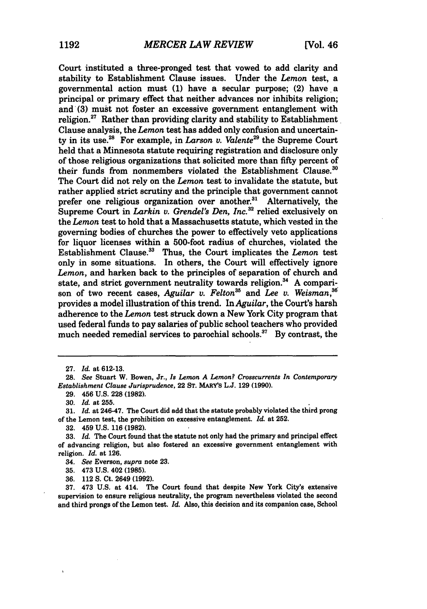Court instituted a three-pronged test that vowed to add clarity and stability to Establishment Clause issues. Under the *Lemon* test, a governmental action must **(1)** have a secular purpose; (2) have a principal or primary effect that neither advances nor inhibits religion; and (3) must not foster an excessive government entanglement with religion. $27$  Rather than providing clarity and stability to Establishment Clause analysis, the *Lemon* test has added only confusion and uncertainty in its use.<sup>2</sup> 8 For example, in *Larson v. Valente29* the Supreme Court held that a Minnesota statute requiring registration and disclosure only of those religious organizations that solicited more than fifty percent of their funds from nonmembers violated the Establishment Clause.<sup>30</sup> The Court did not rely on the *Lemon* test to invalidate the statute, but rather applied strict scrutiny and the principle that government cannot prefer one religious organization over another.<sup>31</sup> Alternatively, the Supreme Court in *Larkin v. Grendel's Den, Inc.*<sup>32</sup> relied exclusively on the *Lemon* test to hold that a Massachusetts statute, which vested in the governing bodies of churches the power to effectively veto applications for liquor licenses within a 500-foot radius of churches, violated the Establishment Clause.33 Thus, the Court implicates the *Lemon* test only in some situations. In others, the Court will effectively ignore *Lemon,* and harken back to the principles of separation of church and state, and strict government neutrality towards religion.<sup>34</sup> A comparison of two recent cases, *Aguilar v. Felton*<sup>36</sup> and *Lee v. Weisman*,<sup>36</sup> provides a model illustration of this trend. In *Aguilar,* the Court's harsh adherence to the *Lemon* test struck down a New York City program that used federal funds to pay salaries of public school teachers who provided much needed remedial services to parochial schools.<sup>37</sup> By contrast, the

<sup>27.</sup> *Id.* at 612-13.

**<sup>28.</sup>** *See* Stuart W. Bowen, Jr., *Is Lemon A Lemon? Crosscurrents In Contemporary Establishment Clause Jurisprudence,* 22 **ST.** MARY'S **L.J. 129 (1990).**

**<sup>29.</sup>** 456 **U.S. 228 (1982).**

**<sup>30.</sup>** *Id.* at **255.**

**<sup>31.</sup>** *Id.* at 246.47. The Court did add that the statute probably violated the third prong of the Lemon test, the prohibition on excessive entanglement. *Id.* at **252.**

**<sup>32.</sup>** 459 **U.S. 116 (1982).**

**<sup>33.</sup>** *Id.* The Court found that the statute not only had the primary and principal effect of advancing religion, but also fostered an excessive government entanglement with religion. *Id.* at **126.**

<sup>34.</sup> *See* Everson, *supra* note **23.**

**<sup>35.</sup>** 473 **U.S.** 402 **(1985).**

**<sup>36.</sup>** 112 **S.** Ct. 2649 **(1992).**

**<sup>37.</sup>** 473 **U.S.** at 414. The Court found that despite New York City's extensive supervision to ensure religious neutrality, the program nevertheless violated the second and third prongs of the Lemon test. *Id.* Also, this decision and its companion case, School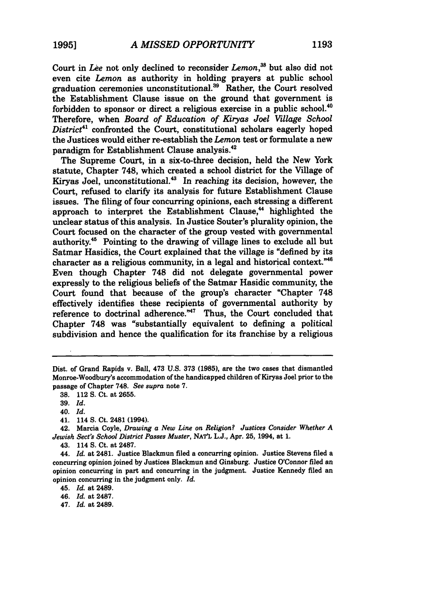Court in *Lee* not only declined to reconsider *Lemon, <sup>8</sup>*but also did not even cite *Lemon* as authority in holding prayers at public school graduation ceremonies unconstitutional.<sup>39</sup> Rather, the Court resolved the Establishment Clause issue on the ground that government is forbidden to sponsor or direct a religious exercise in a public school.<sup>4</sup> Therefore, when *Board of Education of Kiryas Joel Village School* District<sup>41</sup> confronted the Court, constitutional scholars eagerly hoped the Justices would either re-establish the *Lemon* test or formulate a new paradigm for Establishment Clause analysis.42

The Supreme Court, in a six-to-three decision, held the New York statute, Chapter 748, which created a school district for the Village of Kiryas Joel, unconstitutional.<sup>43</sup> In reaching its decision, however, the Court, refused to clarify its analysis for future Establishment Clause issues. The filing of four concurring opinions, each stressing a different approach to interpret the Establishment Clause,<sup>44</sup> highlighted the unclear status of this analysis. In Justice Souter's plurality opinion, the Court focused on the character of the group vested with governmental authority.<sup>45</sup> Pointing to the drawing of village lines to exclude all but Satmar Hasidics, the Court explained that the village is "defined by its character as a religious community, in a legal and historical context."<sup>46</sup> Even though Chapter 748 did not delegate governmental power expressly to the religious beliefs of the Satmar Hasidic community, the Court found that because of the group's character "Chapter 748 effectively identifies these recipients of governmental authority by reference to doctrinal adherence.<sup>"47</sup> Thus, the Court concluded that Chapter 748 was "substantially equivalent to defining a political subdivision and hence the qualification for its franchise by a religious

Dist. of Grand Rapids v. Ball, 473 U.S. 373 **(1985),** are the two cases that dismantled Monroe-Woodbury's accommodation of the handicapped children of Kiryas Joel prior to the passage of Chapter 748. *See supra* note **7.**

**<sup>38.</sup>** 112 **S.** Ct. at **2655.**

**<sup>39.</sup>** *Id.*

<sup>40.</sup> *Id.*

<sup>41. 114</sup> **S.** Ct. 2481 (1994).

<sup>42.</sup> Marcia Coyle, *Drawing a New Line on Religion? Justices Consider Whether A Jewish Sect's School District Passes Muster,* **NATL L.J.,** Apr. **25,** 1994, at **1.**

<sup>43. 114</sup> **S.** Ct. at **2487.**

<sup>44.</sup> *Id.* at 2481. Justice Blackmun filed a concurring opinion. Justice Stevens filed a concurring opinion joined **by** Justices Blackmun and Ginsburg. Justice O'Connor filed an opinion concurring in part and concurring in the judgment. Justice Kennedy filed an opinion concurring in the judgment only. *Id.*

<sup>45.</sup> *Id.* at 2489.

<sup>46.</sup> *Id.* at 2487.

<sup>47.</sup> *Id.* at 2489.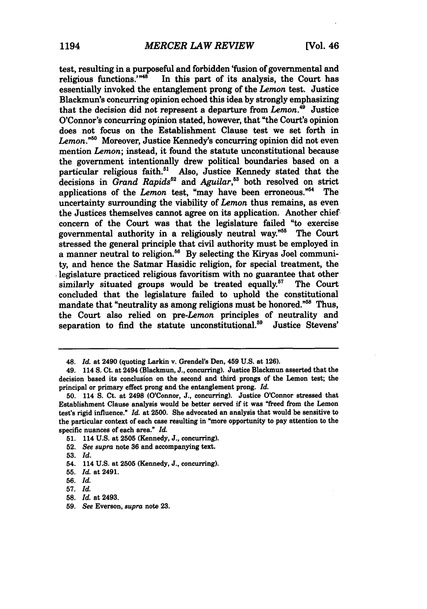test, resulting in a purposeful and forbidden 'fusion of governmental and religious functions." $48$  In this part of its analysis, the Court has In this part of its analysis, the Court has essentially invoked the entanglement prong of the *Lemon* test. Justice Blackmun's concurring opinion echoed this idea **by** strongly emphasizing that the decision did not represent a departure from *Lemon.49* Justice O'Connor's concurring opinion stated, however, that "the Court's opinion does not focus on the Establishment Clause test we set forth in Lemon.<sup>"50</sup> Moreover, Justice Kennedy's concurring opinion did not even mention *Lemon;* instead, it found the statute unconstitutional because the government intentionally drew political boundaries based on a particular religious faith.<sup>51</sup> Also, Justice Kennedy stated that the decisions in *Grand Rapids*<sup>52</sup> and *Aguilar*,<sup>53</sup> both resolved on strict applications of the *Lemon* test, "may have been erroneous."54 The uncertainty surrounding the viability of *Lemon* thus remains, as even the Justices themselves cannot agree on its application. Another chief concern of the Court was that the legislature failed "to exercise governmental authority in a religiously neutral way."<sup>55</sup> The Court stressed the general principle that civil authority must be employed in a manner neutral to religion.<sup>56</sup> By selecting the Kiryas Joel community, and hence the Satmar Hasidic religion, for special treatment, the legislature practiced religious favoritism with no guarantee that other similarly situated groups would be treated equally.<sup>57</sup> The Court concluded that the legislature failed to uphold the constitutional mandate that "neutrality as among religions must be honored."<sup>58</sup> Thus, the Court also relied on *pre-Lemon* principles of neutrality and separation to find the statute unconstitutional.<sup>59</sup> Justice Stevens'

**52.** *See supra* note **36** and accompanying text.

<sup>48.</sup> *Id.* at 2490 (quoting Larkin **v.** Grendel's Den, 459 **U.S.** at **126).**

<sup>49. 114</sup> **S.** Ct. at 2494 (Blackmun, **J.,** concurring). Justice Blackmun asserted that the decision based its conclusion on the second and third prongs of the Lemon test; the principal or primary effect prong and the entanglement prong. *Id.*

**<sup>50.</sup>** 114 **S.** Ct. at 2498 (O'Connor, **J.,** concurring). Justice O'Connor stressed that Establishment Clause analysis would be better served if it was "freed from the Lemon test's rigid influence." *Id.* at **2500.** She advocated an analysis that would be sensitive to the particular context of each case resulting in "more opportunity to pay attention to the specific nuances of each area." *Id.*

**<sup>51.</sup>** 114 **U.S.** at **2505** (Kennedy, **J.,** concurring).

**<sup>53.</sup>** *Id.*

<sup>54. 114</sup> **U.S.** at **2505** (Kennedy, **J.,** concurring).

**<sup>55.</sup>** *Id.* at 2491.

**<sup>56.</sup>** *Id.*

**<sup>57.</sup>** *Id.*

**<sup>58.</sup>** *Id.* at 2493.

**<sup>59.</sup>** See Everson, *supra* note **23.**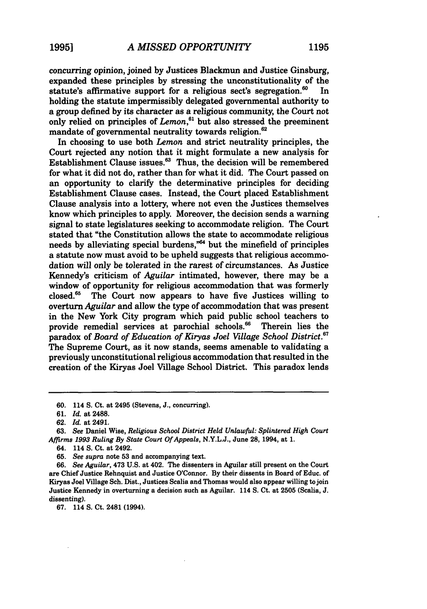concurring opinion, joined **by** Justices Blackmun and Justice Ginsburg, expanded these principles **by** stressing the unconstitutionality of the statute's affirmative support for a religious sect's segregation.<sup>60</sup> 0 In holding the statute impermissibly delegated governmental authority to a group defined **by** its character as a religious community, the Court not only relied on principles of *Lemon,"'* but also stressed the preeminent mandate of governmental neutrality towards religion.<sup>62</sup>

In choosing to use both *Lemon* and strict neutrality principles, the Court rejected any notion that it might formulate a new analysis for Establishment Clause issues.<sup>63</sup> Thus, the decision will be remembered for what it did not do, rather than for what it did. The Court passed on an opportunity to clarify the determinative principles for deciding Establishment Clause cases. Instead, the Court placed Establishment Clause analysis into a lottery, where not even the Justices themselves know which principles to apply. Moreover, the decision sends a warning signal to state legislatures seeking to accommodate religion. The Court stated that "the Constitution allows the state to accommodate religious needs by alleviating special burdens,<sup> $n64$ </sup> but the minefield of principles a statute now must avoid to be upheld suggests that religious accommodation will only be tolerated in the rarest of circumstances. As Justice Kennedy's criticism of *Aguilar* intimated, however, there may be a window of opportunity for religious accommodation that was formerly closed. $65$  The Court now appears to have five Justices willing to overturn *Aguilar* and allow the type of accommodation that was present in the New York City program which paid public school teachers to provide remedial services at parochial schools.<sup>66</sup> Therein lies the provide remedial services at parochial schools.<sup>66</sup> paradox of *Board of Education of Kiryas Joel Village School District.67* The Supreme Court, as it now stands, seems amenable to validating a previously unconstitutional religious accommodation that resulted in the creation of the Kiryas Joel Village School District. This paradox lends

**<sup>60.</sup>** 114 **S. Ct.** at 2495 (Stevens, J., concurring).

**<sup>61.</sup>** *Id.* at 2488.

**<sup>62.</sup>** *Id.* at 2491.

**<sup>63.</sup>** See Daniel Wise, *Religious School District Held Unlawful: Splintered High Court Affirms 1993 Ruling By State Court Of Appeals,* N.Y.L.J., June 28, 1994, at **1.**

**<sup>64.</sup>** 114 S. Ct. at 2492.

<sup>65.</sup> *See supra* note 53 and accompanying text.

**<sup>66.</sup>** *See Aguilar,* 473 U.S. at 402. The dissenters in Aguilar still present on the Court are Chief Justice Rehnquist and Justice O'Connor. By their dissents in Board of Educ. of Kiryas Joel Village Sch. Dist., Justices Scalia and Thomas would also appear willing to join Justice Kennedy in overturning a decision such as Aguilar. 114 **S.** Ct. at 2505 (Scalia, **J.** dissenting).

**<sup>67.</sup>** 114 **S.** Ct. 2481 (1994).